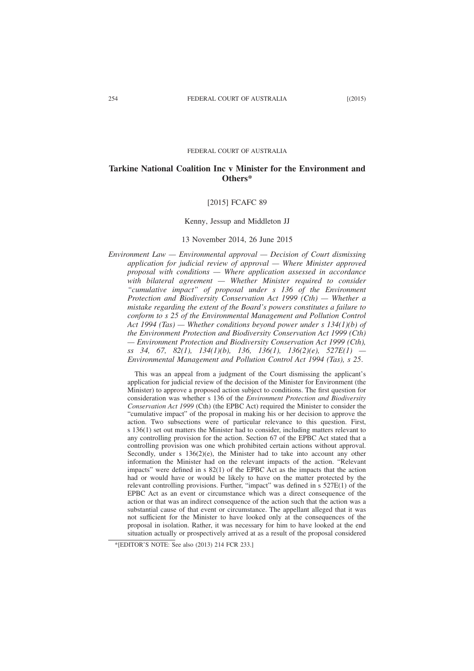#### FEDERAL COURT OF AUSTRALIA

# **Tarkine National Coalition Inc v Minister for the Environment and Others\***

## [2015] FCAFC 89

## Kenny, Jessup and Middleton JJ

## 13 November 2014, 26 June 2015

*Environment Law — Environmental approval — Decision of Court dismissing application for judicial review of approval — Where Minister approved proposal with conditions — Where application assessed in accordance with bilateral agreement — Whether Minister required to consider "cumulative impact" of proposal under s 136 of the Environment Protection and Biodiversity Conservation Act 1999 (Cth) — Whether a mistake regarding the extent of the Board's powers constitutes a failure to conform to s 25 of the Environmental Management and Pollution Control Act 1994 (Tas) — Whether conditions beyond power under s 134(1)(b) of the Environment Protection and Biodiversity Conservation Act 1999 (Cth) — Environment Protection and Biodiversity Conservation Act 1999 (Cth), ss 34, 67, 82(1), 134(1)(b), 136, 136(1), 136(2)(e), 527E(1) — Environmental Management and Pollution Control Act 1994 (Tas), s 25*.

This was an appeal from a judgment of the Court dismissing the applicant's application for judicial review of the decision of the Minister for Environment (the Minister) to approve a proposed action subject to conditions. The first question for consideration was whether s 136 of the *Environment Protection and Biodiversity Conservation Act 1999* (Cth) (the EPBC Act) required the Minister to consider the "cumulative impact" of the proposal in making his or her decision to approve the action. Two subsections were of particular relevance to this question. First, s 136(1) set out matters the Minister had to consider, including matters relevant to any controlling provision for the action. Section 67 of the EPBC Act stated that a controlling provision was one which prohibited certain actions without approval. Secondly, under s  $136(2)(e)$ , the Minister had to take into account any other information the Minister had on the relevant impacts of the action. "Relevant impacts" were defined in s 82(1) of the EPBC Act as the impacts that the action had or would have or would be likely to have on the matter protected by the relevant controlling provisions. Further, "impact" was defined in  $s$  527E(1) of the EPBC Act as an event or circumstance which was a direct consequence of the action or that was an indirect consequence of the action such that the action was a substantial cause of that event or circumstance. The appellant alleged that it was not sufficient for the Minister to have looked only at the consequences of the proposal in isolation. Rather, it was necessary for him to have looked at the end situation actually or prospectively arrived at as a result of the proposal considered

<sup>\*[</sup>EDITOR'S NOTE: See also (2013) 214 FCR 233.]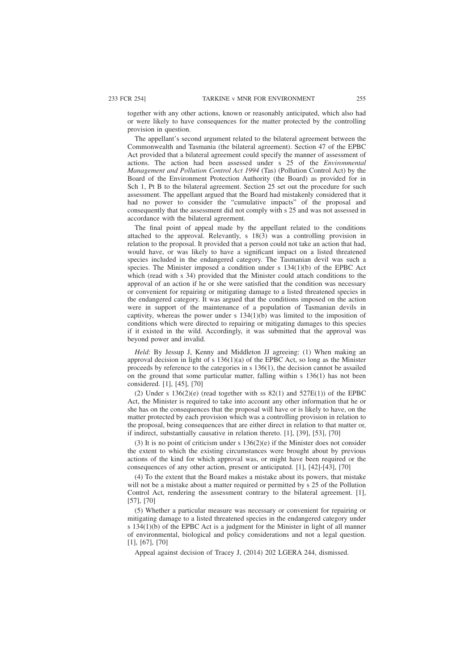together with any other actions, known or reasonably anticipated, which also had or were likely to have consequences for the matter protected by the controlling provision in question.

The appellant's second argument related to the bilateral agreement between the Commonwealth and Tasmania (the bilateral agreement). Section 47 of the EPBC Act provided that a bilateral agreement could specify the manner of assessment of actions. The action had been assessed under s 25 of the *Environmental Management and Pollution Control Act 1994* (Tas) (Pollution Control Act) by the Board of the Environment Protection Authority (the Board) as provided for in Sch 1, Pt B to the bilateral agreement. Section 25 set out the procedure for such assessment. The appellant argued that the Board had mistakenly considered that it had no power to consider the "cumulative impacts" of the proposal and consequently that the assessment did not comply with s 25 and was not assessed in accordance with the bilateral agreement.

The final point of appeal made by the appellant related to the conditions attached to the approval. Relevantly, s 18(3) was a controlling provision in relation to the proposal. It provided that a person could not take an action that had, would have, or was likely to have a significant impact on a listed threatened species included in the endangered category. The Tasmanian devil was such a species. The Minister imposed a condition under s  $134(1)(b)$  of the EPBC Act which (read with s 34) provided that the Minister could attach conditions to the approval of an action if he or she were satisfied that the condition was necessary or convenient for repairing or mitigating damage to a listed threatened species in the endangered category. It was argued that the conditions imposed on the action were in support of the maintenance of a population of Tasmanian devils in captivity, whereas the power under s  $134(1)(b)$  was limited to the imposition of conditions which were directed to repairing or mitigating damages to this species if it existed in the wild. Accordingly, it was submitted that the approval was beyond power and invalid.

*Held*: By Jessup J, Kenny and Middleton JJ agreeing: (1) When making an approval decision in light of s  $136(1)(a)$  of the EPBC Act, so long as the Minister proceeds by reference to the categories in s 136(1), the decision cannot be assailed on the ground that some particular matter, falling within s 136(1) has not been considered. [1], [45], [70]

(2) Under s  $136(2)(e)$  (read together with ss  $82(1)$  and  $527E(1)$ ) of the EPBC Act, the Minister is required to take into account any other information that he or she has on the consequences that the proposal will have or is likely to have, on the matter protected by each provision which was a controlling provision in relation to the proposal, being consequences that are either direct in relation to that matter or, if indirect, substantially causative in relation thereto. [1], [39], [53], [70]

(3) It is no point of criticism under s 136(2)(e) if the Minister does not consider the extent to which the existing circumstances were brought about by previous actions of the kind for which approval was, or might have been required or the consequences of any other action, present or anticipated. [1], [42]-[43], [70]

(4) To the extent that the Board makes a mistake about its powers, that mistake will not be a mistake about a matter required or permitted by s 25 of the Pollution Control Act, rendering the assessment contrary to the bilateral agreement. [1], [57], [70]

(5) Whether a particular measure was necessary or convenient for repairing or mitigating damage to a listed threatened species in the endangered category under s 134(1)(b) of the EPBC Act is a judgment for the Minister in light of all manner of environmental, biological and policy considerations and not a legal question. [1], [67], [70]

Appeal against decision of Tracey J, (2014) 202 LGERA 244, dismissed.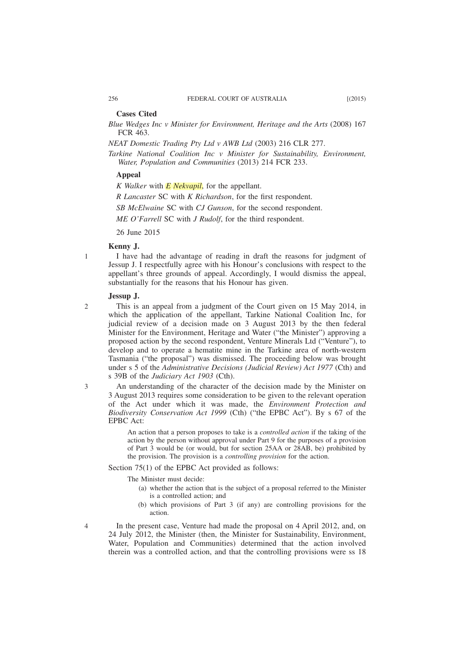## **Cases Cited**

*Blue Wedges Inc v Minister for Environment, Heritage and the Arts* (2008) 167 FCR 463.

*NEAT Domestic Trading Pty Ltd v AWB Ltd* (2003) 216 CLR 277.

*Tarkine National Coalition Inc v Minister for Sustainability, Environment, Water, Population and Communities* (2013) 214 FCR 233.

## **Appeal**

*K Walker* with *E Nekvapil*, for the appellant.

*R Lancaster* SC with *K Richardson*, for the first respondent.

*SB McElwaine* SC with *CJ Gunson*, for the second respondent.

*ME O'Farrell* SC with *J Rudolf*, for the third respondent.

26 June 2015

## **Kenny J.**

I have had the advantage of reading in draft the reasons for judgment of Jessup J. I respectfully agree with his Honour's conclusions with respect to the appellant's three grounds of appeal. Accordingly, I would dismiss the appeal, substantially for the reasons that his Honour has given.

### **Jessup J.**

 $\mathcal{D}$ 

3

4

1

This is an appeal from a judgment of the Court given on 15 May 2014, in which the application of the appellant, Tarkine National Coalition Inc, for judicial review of a decision made on 3 August 2013 by the then federal Minister for the Environment, Heritage and Water ("the Minister") approving a proposed action by the second respondent, Venture Minerals Ltd ("Venture"), to develop and to operate a hematite mine in the Tarkine area of north-western Tasmania ("the proposal") was dismissed. The proceeding below was brought under s 5 of the *Administrative Decisions (Judicial Review) Act 1977* (Cth) and s 39B of the *Judiciary Act 1903* (Cth).

An understanding of the character of the decision made by the Minister on 3 August 2013 requires some consideration to be given to the relevant operation of the Act under which it was made, the *Environment Protection and Biodiversity Conservation Act 1999* (Cth) ("the EPBC Act"). By s 67 of the EPBC Act:

An action that a person proposes to take is a *controlled action* if the taking of the action by the person without approval under Part 9 for the purposes of a provision of Part 3 would be (or would, but for section 25AA or 28AB, be) prohibited by the provision. The provision is a *controlling provision* for the action.

Section 75(1) of the EPBC Act provided as follows:

The Minister must decide:

- (a) whether the action that is the subject of a proposal referred to the Minister is a controlled action; and
- (b) which provisions of Part 3 (if any) are controlling provisions for the action.

In the present case, Venture had made the proposal on 4 April 2012, and, on 24 July 2012, the Minister (then, the Minister for Sustainability, Environment, Water, Population and Communities) determined that the action involved therein was a controlled action, and that the controlling provisions were ss 18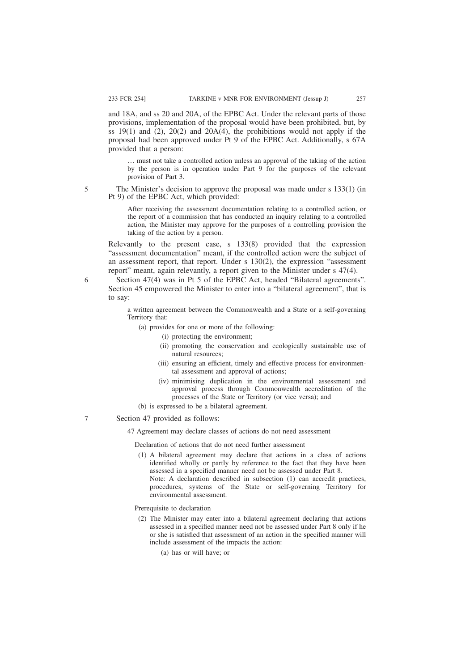and 18A, and ss 20 and 20A, of the EPBC Act. Under the relevant parts of those provisions, implementation of the proposal would have been prohibited, but, by ss  $19(1)$  and  $(2)$ ,  $20(2)$  and  $20A(4)$ , the prohibitions would not apply if the proposal had been approved under Pt 9 of the EPBC Act. Additionally, s 67A provided that a person:

… must not take a controlled action unless an approval of the taking of the action by the person is in operation under Part 9 for the purposes of the relevant provision of Part 3.

The Minister's decision to approve the proposal was made under s 133(1) (in Pt 9) of the EPBC Act, which provided:

After receiving the assessment documentation relating to a controlled action, or the report of a commission that has conducted an inquiry relating to a controlled action, the Minister may approve for the purposes of a controlling provision the taking of the action by a person.

Relevantly to the present case, s 133(8) provided that the expression "assessment documentation" meant, if the controlled action were the subject of an assessment report, that report. Under s 130(2), the expression "assessment report" meant, again relevantly, a report given to the Minister under s 47(4).

Section 47(4) was in Pt 5 of the EPBC Act, headed "Bilateral agreements". Section 45 empowered the Minister to enter into a "bilateral agreement", that is to say:

a written agreement between the Commonwealth and a State or a self-governing Territory that:

- (a) provides for one or more of the following:
	- (i) protecting the environment;
	- (ii) promoting the conservation and ecologically sustainable use of natural resources;
	- (iii) ensuring an efficient, timely and effective process for environmental assessment and approval of actions;
	- (iv) minimising duplication in the environmental assessment and approval process through Commonwealth accreditation of the processes of the State or Territory (or vice versa); and
- (b) is expressed to be a bilateral agreement.

## Section 47 provided as follows:

47 Agreement may declare classes of actions do not need assessment

Declaration of actions that do not need further assessment

(1) A bilateral agreement may declare that actions in a class of actions identified wholly or partly by reference to the fact that they have been assessed in a specified manner need not be assessed under Part 8. Note: A declaration described in subsection (1) can accredit practices, procedures, systems of the State or self-governing Territory for

Prerequisite to declaration

environmental assessment.

- (2) The Minister may enter into a bilateral agreement declaring that actions assessed in a specified manner need not be assessed under Part 8 only if he or she is satisfied that assessment of an action in the specified manner will include assessment of the impacts the action:
	- (a) has or will have; or

5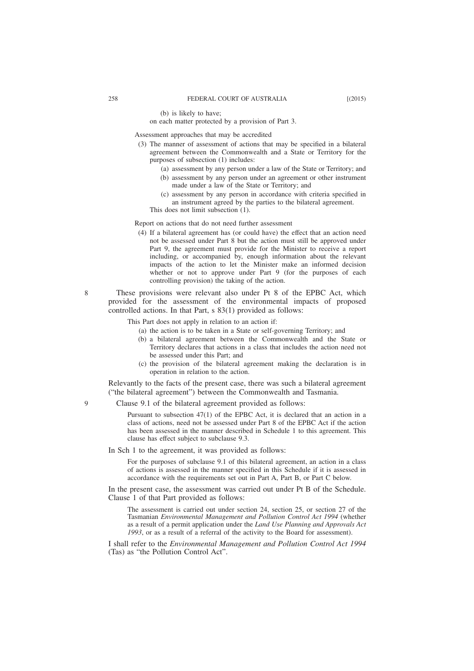on each matter protected by a provision of Part 3.

Assessment approaches that may be accredited

- (3) The manner of assessment of actions that may be specified in a bilateral agreement between the Commonwealth and a State or Territory for the purposes of subsection (1) includes:
	- (a) assessment by any person under a law of the State or Territory; and (b) assessment by any person under an agreement or other instrument made under a law of the State or Territory; and
	- (c) assessment by any person in accordance with criteria specified in an instrument agreed by the parties to the bilateral agreement.

This does not limit subsection (1).

Report on actions that do not need further assessment

(4) If a bilateral agreement has (or could have) the effect that an action need not be assessed under Part 8 but the action must still be approved under Part 9, the agreement must provide for the Minister to receive a report including, or accompanied by, enough information about the relevant impacts of the action to let the Minister make an informed decision whether or not to approve under Part 9 (for the purposes of each controlling provision) the taking of the action.

These provisions were relevant also under Pt 8 of the EPBC Act, which provided for the assessment of the environmental impacts of proposed controlled actions. In that Part, s 83(1) provided as follows:

This Part does not apply in relation to an action if:

- (a) the action is to be taken in a State or self-governing Territory; and
- (b) a bilateral agreement between the Commonwealth and the State or Territory declares that actions in a class that includes the action need not be assessed under this Part; and
- (c) the provision of the bilateral agreement making the declaration is in operation in relation to the action.

Relevantly to the facts of the present case, there was such a bilateral agreement ("the bilateral agreement") between the Commonwealth and Tasmania.

Clause 9.1 of the bilateral agreement provided as follows:

Pursuant to subsection 47(1) of the EPBC Act, it is declared that an action in a class of actions, need not be assessed under Part 8 of the EPBC Act if the action has been assessed in the manner described in Schedule 1 to this agreement. This clause has effect subject to subclause 9.3.

In Sch 1 to the agreement, it was provided as follows:

For the purposes of subclause 9.1 of this bilateral agreement, an action in a class of actions is assessed in the manner specified in this Schedule if it is assessed in accordance with the requirements set out in Part A, Part B, or Part C below.

In the present case, the assessment was carried out under Pt B of the Schedule. Clause 1 of that Part provided as follows:

The assessment is carried out under section 24, section 25, or section 27 of the Tasmanian *Environmental Management and Pollution Control Act 1994* (whether as a result of a permit application under the *Land Use Planning and Approvals Act 1993*, or as a result of a referral of the activity to the Board for assessment).

I shall refer to the *Environmental Management and Pollution Control Act 1994* (Tas) as "the Pollution Control Act".

8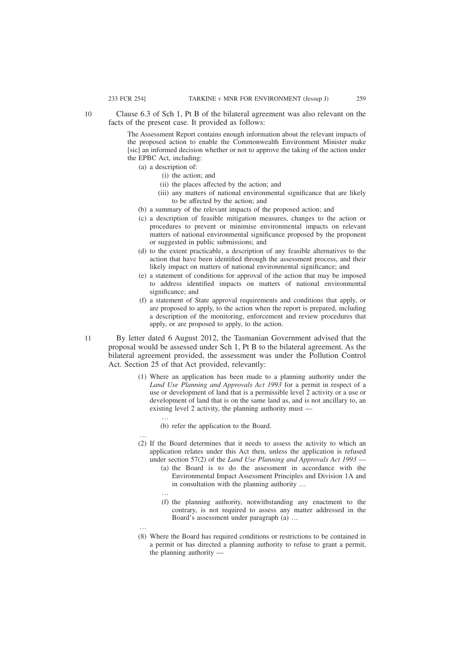Clause 6.3 of Sch 1, Pt B of the bilateral agreement was also relevant on the facts of the present case. It provided as follows: 10

> The Assessment Report contains enough information about the relevant impacts of the proposed action to enable the Commonwealth Environment Minister make [sic] an informed decision whether or not to approve the taking of the action under the EPBC Act, including:

- (a) a description of:
	- (i) the action; and
	- (ii) the places affected by the action; and
	- (iii) any matters of national environmental significance that are likely to be affected by the action; and
- (b) a summary of the relevant impacts of the proposed action; and
- (c) a description of feasible mitigation measures, changes to the action or procedures to prevent or minimise environmental impacts on relevant matters of national environmental significance proposed by the proponent or suggested in public submissions; and
- (d) to the extent practicable, a description of any feasible alternatives to the action that have been identified through the assessment process, and their likely impact on matters of national environmental significance; and
- (e) a statement of conditions for approval of the action that may be imposed to address identified impacts on matters of national environmental significance; and
- (f) a statement of State approval requirements and conditions that apply, or are proposed to apply, to the action when the report is prepared, including a description of the monitoring, enforcement and review procedures that apply, or are proposed to apply, to the action.
- By letter dated 6 August 2012, the Tasmanian Government advised that the proposal would be assessed under Sch 1, Pt B to the bilateral agreement. As the bilateral agreement provided, the assessment was under the Pollution Control Act. Section 25 of that Act provided, relevantly:
	- (1) Where an application has been made to a planning authority under the *Land Use Planning and Approvals Act 1993* for a permit in respect of a use or development of land that is a permissible level 2 activity or a use or development of land that is on the same land as, and is not ancillary to, an existing level 2 activity, the planning authority must —

(b) refer the application to the Board.

- … (2) If the Board determines that it needs to assess the activity to which an application relates under this Act then, unless the application is refused under section 57(2) of the *Land Use Planning and Approvals Act 1993* —
	- (a) the Board is to do the assessment in accordance with the Environmental Impact Assessment Principles and Division 1A and in consultation with the planning authority …
	- …

…

…

- (f) the planning authority, notwithstanding any enactment to the contrary, is not required to assess any matter addressed in the Board's assessment under paragraph (a) …
- (8) Where the Board has required conditions or restrictions to be contained in a permit or has directed a planning authority to refuse to grant a permit, the planning authority —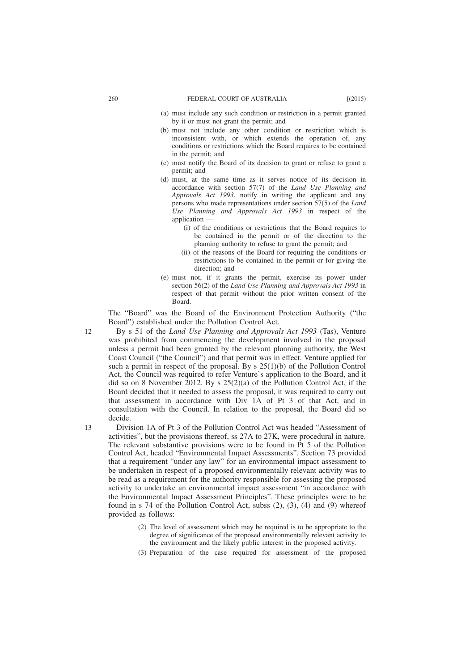- (a) must include any such condition or restriction in a permit granted by it or must not grant the permit; and
- (b) must not include any other condition or restriction which is inconsistent with, or which extends the operation of, any conditions or restrictions which the Board requires to be contained in the permit; and
- (c) must notify the Board of its decision to grant or refuse to grant a permit; and
- (d) must, at the same time as it serves notice of its decision in accordance with section 57(7) of the *Land Use Planning and Approvals Act 1993*, notify in writing the applicant and any persons who made representations under section 57(5) of the *Land Use Planning and Approvals Act 1993* in respect of the application —
	- (i) of the conditions or restrictions that the Board requires to be contained in the permit or of the direction to the planning authority to refuse to grant the permit; and
	- (ii) of the reasons of the Board for requiring the conditions or restrictions to be contained in the permit or for giving the direction: and
- (e) must not, if it grants the permit, exercise its power under section 56(2) of the *Land Use Planning and Approvals Act 1993* in respect of that permit without the prior written consent of the Board.

The "Board" was the Board of the Environment Protection Authority ("the Board") established under the Pollution Control Act.

- By s 51 of the *Land Use Planning and Approvals Act 1993* (Tas), Venture was prohibited from commencing the development involved in the proposal unless a permit had been granted by the relevant planning authority, the West Coast Council ("the Council") and that permit was in effect. Venture applied for such a permit in respect of the proposal. By s 25(1)(b) of the Pollution Control Act, the Council was required to refer Venture's application to the Board, and it did so on 8 November 2012. By s 25(2)(a) of the Pollution Control Act, if the Board decided that it needed to assess the proposal, it was required to carry out that assessment in accordance with Div 1A of Pt 3 of that Act, and in consultation with the Council. In relation to the proposal, the Board did so decide.
- Division 1A of Pt 3 of the Pollution Control Act was headed "Assessment of activities", but the provisions thereof, ss 27A to 27K, were procedural in nature. The relevant substantive provisions were to be found in Pt 5 of the Pollution Control Act, headed "Environmental Impact Assessments". Section 73 provided that a requirement "under any law" for an environmental impact assessment to be undertaken in respect of a proposed environmentally relevant activity was to be read as a requirement for the authority responsible for assessing the proposed activity to undertake an environmental impact assessment "in accordance with the Environmental Impact Assessment Principles". These principles were to be found in s 74 of the Pollution Control Act, subss (2), (3), (4) and (9) whereof provided as follows:
	- (2) The level of assessment which may be required is to be appropriate to the degree of significance of the proposed environmentally relevant activity to the environment and the likely public interest in the proposed activity.
	- (3) Preparation of the case required for assessment of the proposed

12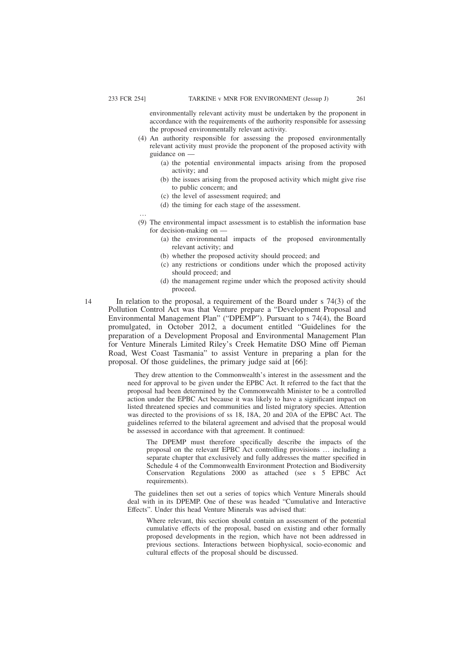…

environmentally relevant activity must be undertaken by the proponent in accordance with the requirements of the authority responsible for assessing the proposed environmentally relevant activity.

- (4) An authority responsible for assessing the proposed environmentally relevant activity must provide the proponent of the proposed activity with guidance on —
	- (a) the potential environmental impacts arising from the proposed activity; and
	- (b) the issues arising from the proposed activity which might give rise to public concern; and
	- (c) the level of assessment required; and
	- (d) the timing for each stage of the assessment.
- (9) The environmental impact assessment is to establish the information base for decision-making on —
	- (a) the environmental impacts of the proposed environmentally relevant activity; and
	- (b) whether the proposed activity should proceed; and
	- (c) any restrictions or conditions under which the proposed activity should proceed; and
	- (d) the management regime under which the proposed activity should proceed.
- In relation to the proposal, a requirement of the Board under s 74(3) of the Pollution Control Act was that Venture prepare a "Development Proposal and Environmental Management Plan" ("DPEMP"). Pursuant to s 74(4), the Board promulgated, in October 2012, a document entitled "Guidelines for the preparation of a Development Proposal and Environmental Management Plan for Venture Minerals Limited Riley's Creek Hematite DSO Mine off Pieman Road, West Coast Tasmania" to assist Venture in preparing a plan for the proposal. Of those guidelines, the primary judge said at [66]:

They drew attention to the Commonwealth's interest in the assessment and the need for approval to be given under the EPBC Act. It referred to the fact that the proposal had been determined by the Commonwealth Minister to be a controlled action under the EPBC Act because it was likely to have a significant impact on listed threatened species and communities and listed migratory species. Attention was directed to the provisions of ss 18, 18A, 20 and 20A of the EPBC Act. The guidelines referred to the bilateral agreement and advised that the proposal would be assessed in accordance with that agreement. It continued:

The DPEMP must therefore specifically describe the impacts of the proposal on the relevant EPBC Act controlling provisions … including a separate chapter that exclusively and fully addresses the matter specified in Schedule 4 of the Commonwealth Environment Protection and Biodiversity Conservation Regulations 2000 as attached (see s 5 EPBC Act requirements).

The guidelines then set out a series of topics which Venture Minerals should deal with in its DPEMP. One of these was headed "Cumulative and Interactive Effects". Under this head Venture Minerals was advised that:

Where relevant, this section should contain an assessment of the potential cumulative effects of the proposal, based on existing and other formally proposed developments in the region, which have not been addressed in previous sections. Interactions between biophysical, socio-economic and cultural effects of the proposal should be discussed.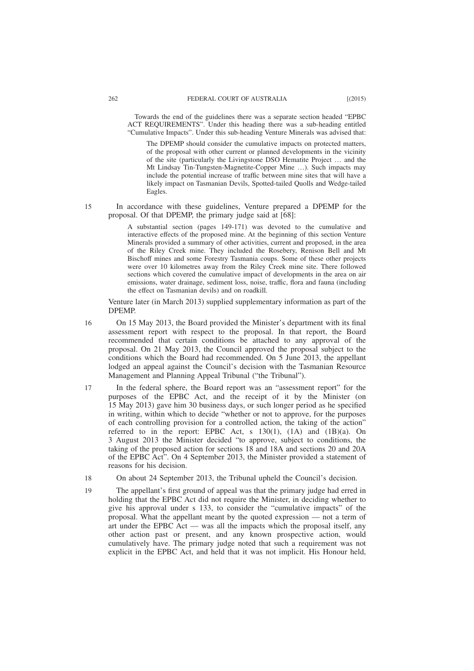Towards the end of the guidelines there was a separate section headed "EPBC ACT REQUIREMENTS". Under this heading there was a sub-heading entitled "Cumulative Impacts". Under this sub-heading Venture Minerals was advised that:

The DPEMP should consider the cumulative impacts on protected matters, of the proposal with other current or planned developments in the vicinity of the site (particularly the Livingstone DSO Hematite Project … and the Mt Lindsay Tin-Tungsten-Magnetite-Copper Mine …). Such impacts may include the potential increase of traffic between mine sites that will have a likely impact on Tasmanian Devils, Spotted-tailed Quolls and Wedge-tailed Eagles.

In accordance with these guidelines, Venture prepared a DPEMP for the proposal. Of that DPEMP, the primary judge said at [68]: 15

> A substantial section (pages 149-171) was devoted to the cumulative and interactive effects of the proposed mine. At the beginning of this section Venture Minerals provided a summary of other activities, current and proposed, in the area of the Riley Creek mine. They included the Rosebery, Renison Bell and Mt Bischoff mines and some Forestry Tasmania coups. Some of these other projects were over 10 kilometres away from the Riley Creek mine site. There followed sections which covered the cumulative impact of developments in the area on air emissions, water drainage, sediment loss, noise, traffic, flora and fauna (including the effect on Tasmanian devils) and on roadkill.

Venture later (in March 2013) supplied supplementary information as part of the DPEMP.

On 15 May 2013, the Board provided the Minister's department with its final assessment report with respect to the proposal. In that report, the Board recommended that certain conditions be attached to any approval of the proposal. On 21 May 2013, the Council approved the proposal subject to the conditions which the Board had recommended. On 5 June 2013, the appellant lodged an appeal against the Council's decision with the Tasmanian Resource Management and Planning Appeal Tribunal ("the Tribunal"). 16

- In the federal sphere, the Board report was an "assessment report" for the purposes of the EPBC Act, and the receipt of it by the Minister (on 15 May 2013) gave him 30 business days, or such longer period as he specified in writing, within which to decide "whether or not to approve, for the purposes of each controlling provision for a controlled action, the taking of the action" referred to in the report: EPBC Act, s  $130(1)$ ,  $(1A)$  and  $(1B)(a)$ . On 3 August 2013 the Minister decided "to approve, subject to conditions, the taking of the proposed action for sections 18 and 18A and sections 20 and 20A of the EPBC Act". On 4 September 2013, the Minister provided a statement of reasons for his decision. 17
- On about 24 September 2013, the Tribunal upheld the Council's decision. 18
- The appellant's first ground of appeal was that the primary judge had erred in holding that the EPBC Act did not require the Minister, in deciding whether to give his approval under s 133, to consider the "cumulative impacts" of the proposal. What the appellant meant by the quoted expression — not a term of art under the EPBC Act — was all the impacts which the proposal itself, any other action past or present, and any known prospective action, would cumulatively have. The primary judge noted that such a requirement was not explicit in the EPBC Act, and held that it was not implicit. His Honour held, 19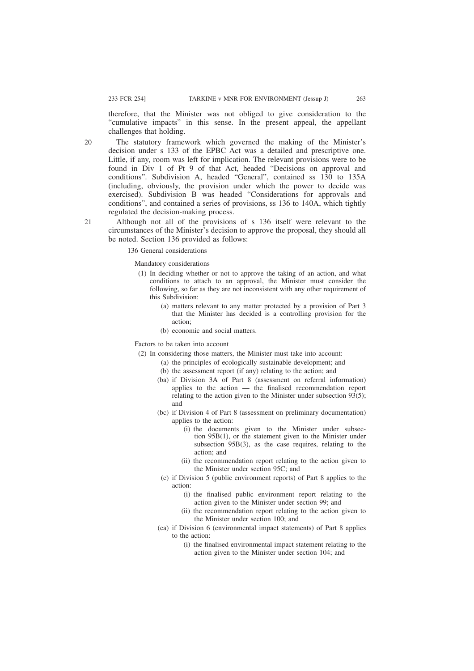therefore, that the Minister was not obliged to give consideration to the "cumulative impacts" in this sense. In the present appeal, the appellant challenges that holding.

The statutory framework which governed the making of the Minister's decision under s 133 of the EPBC Act was a detailed and prescriptive one. Little, if any, room was left for implication. The relevant provisions were to be found in Div 1 of Pt 9 of that Act, headed "Decisions on approval and conditions". Subdivision A, headed "General", contained ss 130 to 135A (including, obviously, the provision under which the power to decide was exercised). Subdivision B was headed "Considerations for approvals and conditions", and contained a series of provisions, ss 136 to 140A, which tightly regulated the decision-making process.

Although not all of the provisions of s 136 itself were relevant to the circumstances of the Minister's decision to approve the proposal, they should all be noted. Section 136 provided as follows:

136 General considerations

Mandatory considerations

- (1) In deciding whether or not to approve the taking of an action, and what conditions to attach to an approval, the Minister must consider the following, so far as they are not inconsistent with any other requirement of this Subdivision:
	- (a) matters relevant to any matter protected by a provision of Part 3 that the Minister has decided is a controlling provision for the action;
	- (b) economic and social matters.

Factors to be taken into account

- (2) In considering those matters, the Minister must take into account:
	- (a) the principles of ecologically sustainable development; and
	- (b) the assessment report (if any) relating to the action; and
	- (ba) if Division 3A of Part 8 (assessment on referral information) applies to the action — the finalised recommendation report relating to the action given to the Minister under subsection  $93(5)$ ; and
	- (bc) if Division 4 of Part 8 (assessment on preliminary documentation) applies to the action:
		- (i) the documents given to the Minister under subsection 95B(1), or the statement given to the Minister under subsection 95B(3), as the case requires, relating to the action; and
		- (ii) the recommendation report relating to the action given to the Minister under section 95C; and
	- (c) if Division 5 (public environment reports) of Part 8 applies to the action:
		- (i) the finalised public environment report relating to the action given to the Minister under section 99; and
		- (ii) the recommendation report relating to the action given to the Minister under section 100; and
	- (ca) if Division 6 (environmental impact statements) of Part 8 applies to the action:
		- (i) the finalised environmental impact statement relating to the action given to the Minister under section 104; and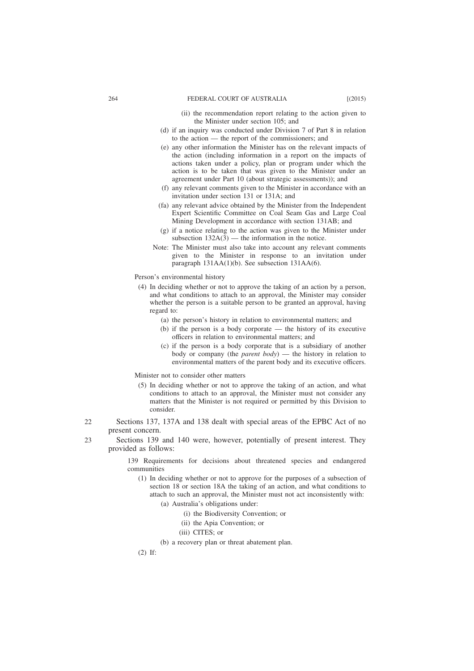- (ii) the recommendation report relating to the action given to the Minister under section 105; and
- (d) if an inquiry was conducted under Division 7 of Part 8 in relation to the action — the report of the commissioners; and
- (e) any other information the Minister has on the relevant impacts of the action (including information in a report on the impacts of actions taken under a policy, plan or program under which the action is to be taken that was given to the Minister under an agreement under Part 10 (about strategic assessments)); and
- (f) any relevant comments given to the Minister in accordance with an invitation under section 131 or 131A; and
- (fa) any relevant advice obtained by the Minister from the Independent Expert Scientific Committee on Coal Seam Gas and Large Coal Mining Development in accordance with section 131AB; and
- (g) if a notice relating to the action was given to the Minister under subsection  $132A(3)$  — the information in the notice.
- Note: The Minister must also take into account any relevant comments given to the Minister in response to an invitation under paragraph 131AA(1)(b). See subsection 131AA(6).
- Person's environmental history
- (4) In deciding whether or not to approve the taking of an action by a person, and what conditions to attach to an approval, the Minister may consider whether the person is a suitable person to be granted an approval, having regard to:
	- (a) the person's history in relation to environmental matters; and
	- (b) if the person is a body corporate the history of its executive officers in relation to environmental matters; and
	- (c) if the person is a body corporate that is a subsidiary of another body or company (the *parent body*) — the history in relation to environmental matters of the parent body and its executive officers.

Minister not to consider other matters

- (5) In deciding whether or not to approve the taking of an action, and what conditions to attach to an approval, the Minister must not consider any matters that the Minister is not required or permitted by this Division to consider.
- Sections 137, 137A and 138 dealt with special areas of the EPBC Act of no present concern.  $22$
- Sections 139 and 140 were, however, potentially of present interest. They provided as follows:  $23$

139 Requirements for decisions about threatened species and endangered communities

- (1) In deciding whether or not to approve for the purposes of a subsection of section 18 or section 18A the taking of an action, and what conditions to attach to such an approval, the Minister must not act inconsistently with:
	- (a) Australia's obligations under:
		- (i) the Biodiversity Convention; or
		- (ii) the Apia Convention; or
		- (iii) CITES; or
	- (b) a recovery plan or threat abatement plan.

(2) If: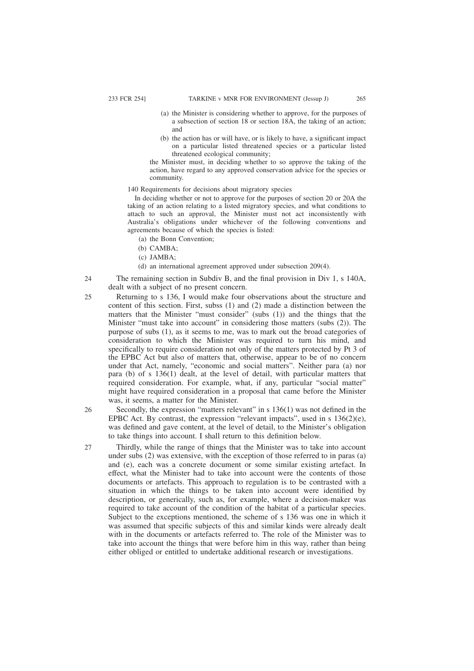- (a) the Minister is considering whether to approve, for the purposes of a subsection of section 18 or section 18A, the taking of an action; and
- (b) the action has or will have, or is likely to have, a significant impact on a particular listed threatened species or a particular listed threatened ecological community;

the Minister must, in deciding whether to so approve the taking of the action, have regard to any approved conservation advice for the species or community.

#### 140 Requirements for decisions about migratory species

In deciding whether or not to approve for the purposes of section 20 or 20A the taking of an action relating to a listed migratory species, and what conditions to attach to such an approval, the Minister must not act inconsistently with Australia's obligations under whichever of the following conventions and agreements because of which the species is listed:

- (a) the Bonn Convention;
- (b) CAMBA;
- (c) JAMBA;

26

27

- (d) an international agreement approved under subsection 209(4).
- The remaining section in Subdiv B, and the final provision in Div 1, s 140A, dealt with a subject of no present concern.  $24$
- Returning to s 136, I would make four observations about the structure and content of this section. First, subss (1) and (2) made a distinction between the matters that the Minister "must consider" (subs (1)) and the things that the Minister "must take into account" in considering those matters (subs (2)). The purpose of subs (1), as it seems to me, was to mark out the broad categories of consideration to which the Minister was required to turn his mind, and specifically to require consideration not only of the matters protected by Pt 3 of the EPBC Act but also of matters that, otherwise, appear to be of no concern under that Act, namely, "economic and social matters". Neither para (a) nor para (b) of s 136(1) dealt, at the level of detail, with particular matters that required consideration. For example, what, if any, particular "social matter" might have required consideration in a proposal that came before the Minister was, it seems, a matter for the Minister. 25

Secondly, the expression "matters relevant" in s 136(1) was not defined in the EPBC Act. By contrast, the expression "relevant impacts", used in s  $136(2)(e)$ , was defined and gave content, at the level of detail, to the Minister's obligation to take things into account. I shall return to this definition below.

Thirdly, while the range of things that the Minister was to take into account under subs (2) was extensive, with the exception of those referred to in paras (a) and (e), each was a concrete document or some similar existing artefact. In effect, what the Minister had to take into account were the contents of those documents or artefacts. This approach to regulation is to be contrasted with a situation in which the things to be taken into account were identified by description, or generically, such as, for example, where a decision-maker was required to take account of the condition of the habitat of a particular species. Subject to the exceptions mentioned, the scheme of s 136 was one in which it was assumed that specific subjects of this and similar kinds were already dealt with in the documents or artefacts referred to. The role of the Minister was to take into account the things that were before him in this way, rather than being either obliged or entitled to undertake additional research or investigations.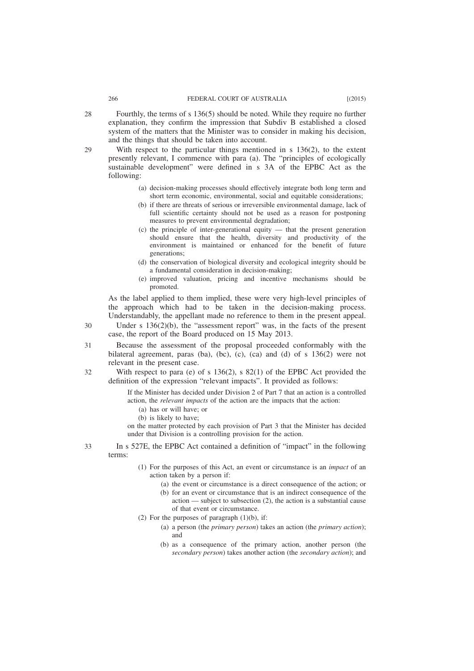Fourthly, the terms of s 136(5) should be noted. While they require no further explanation, they confirm the impression that Subdiv B established a closed system of the matters that the Minister was to consider in making his decision, and the things that should be taken into account.

With respect to the particular things mentioned in  $s$  136(2), to the extent presently relevant, I commence with para (a). The "principles of ecologically sustainable development" were defined in s 3A of the EPBC Act as the following:

- (a) decision-making processes should effectively integrate both long term and short term economic, environmental, social and equitable considerations;
- (b) if there are threats of serious or irreversible environmental damage, lack of full scientific certainty should not be used as a reason for postponing measures to prevent environmental degradation;
- (c) the principle of inter-generational equity that the present generation should ensure that the health, diversity and productivity of the environment is maintained or enhanced for the benefit of future generations;
- (d) the conservation of biological diversity and ecological integrity should be a fundamental consideration in decision-making;
- (e) improved valuation, pricing and incentive mechanisms should be promoted.

As the label applied to them implied, these were very high-level principles of the approach which had to be taken in the decision-making process. Understandably, the appellant made no reference to them in the present appeal.

- Under s 136(2)(b), the "assessment report" was, in the facts of the present case, the report of the Board produced on 15 May 2013.
- Because the assessment of the proposal proceeded conformably with the bilateral agreement, paras (ba), (bc), (c), (ca) and (d) of  $s$  136(2) were not relevant in the present case. 31
- With respect to para (e) of s  $136(2)$ , s  $82(1)$  of the EPBC Act provided the definition of the expression "relevant impacts". It provided as follows: 32

If the Minister has decided under Division 2 of Part 7 that an action is a controlled action, the *relevant impacts* of the action are the impacts that the action:

- (a) has or will have; or
- (b) is likely to have;

on the matter protected by each provision of Part 3 that the Minister has decided under that Division is a controlling provision for the action.

- In s 527E, the EPBC Act contained a definition of "impact" in the following terms: 33
	- (1) For the purposes of this Act, an event or circumstance is an *impact* of an action taken by a person if:
		- (a) the event or circumstance is a direct consequence of the action; or
		- (b) for an event or circumstance that is an indirect consequence of the action — subject to subsection (2), the action is a substantial cause of that event or circumstance.
	- (2) For the purposes of paragraph  $(1)(b)$ , if:
		- (a) a person (the *primary person*) takes an action (the *primary action*); and
		- (b) as a consequence of the primary action, another person (the *secondary person*) takes another action (the *secondary action*); and

28

29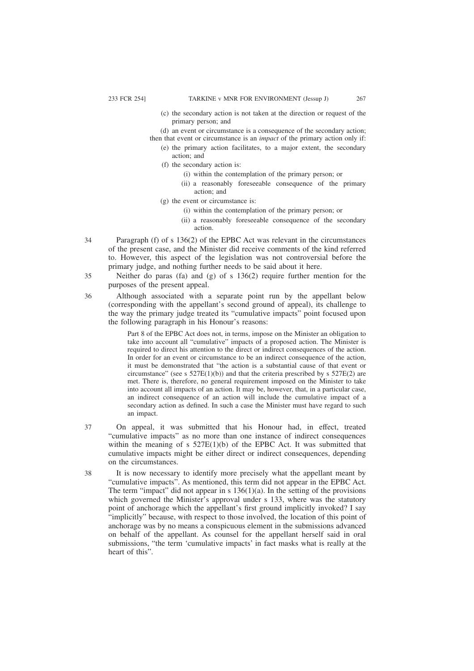- (c) the secondary action is not taken at the direction or request of the primary person; and
- (d) an event or circumstance is a consequence of the secondary action;
- then that event or circumstance is an *impact* of the primary action only if: (e) the primary action facilitates, to a major extent, the secondary action; and
	- (f) the secondary action is:
		- (i) within the contemplation of the primary person; or
		- (ii) a reasonably foreseeable consequence of the primary action; and
	- (g) the event or circumstance is:
		- (i) within the contemplation of the primary person; or
		- (ii) a reasonably foreseeable consequence of the secondary action.
- Paragraph (f) of s 136(2) of the EPBC Act was relevant in the circumstances of the present case, and the Minister did receive comments of the kind referred to. However, this aspect of the legislation was not controversial before the primary judge, and nothing further needs to be said about it here. 34
	- Neither do paras (fa) and (g) of s 136(2) require further mention for the purposes of the present appeal.
	- Although associated with a separate point run by the appellant below (corresponding with the appellant's second ground of appeal), its challenge to the way the primary judge treated its "cumulative impacts" point focused upon the following paragraph in his Honour's reasons:

Part 8 of the EPBC Act does not, in terms, impose on the Minister an obligation to take into account all "cumulative" impacts of a proposed action. The Minister is required to direct his attention to the direct or indirect consequences of the action. In order for an event or circumstance to be an indirect consequence of the action, it must be demonstrated that "the action is a substantial cause of that event or circumstance" (see s  $527E(1)(b)$ ) and that the criteria prescribed by s  $527E(2)$  are met. There is, therefore, no general requirement imposed on the Minister to take into account all impacts of an action. It may be, however, that, in a particular case, an indirect consequence of an action will include the cumulative impact of a secondary action as defined. In such a case the Minister must have regard to such an impact.

- On appeal, it was submitted that his Honour had, in effect, treated "cumulative impacts" as no more than one instance of indirect consequences within the meaning of s  $527E(1)(b)$  of the EPBC Act. It was submitted that cumulative impacts might be either direct or indirect consequences, depending on the circumstances. 37
	- It is now necessary to identify more precisely what the appellant meant by "cumulative impacts". As mentioned, this term did not appear in the EPBC Act. The term "impact" did not appear in s  $136(1)(a)$ . In the setting of the provisions which governed the Minister's approval under s 133, where was the statutory point of anchorage which the appellant's first ground implicitly invoked? I say "implicitly" because, with respect to those involved, the location of this point of anchorage was by no means a conspicuous element in the submissions advanced on behalf of the appellant. As counsel for the appellant herself said in oral submissions, "the term 'cumulative impacts' in fact masks what is really at the heart of this".

35

36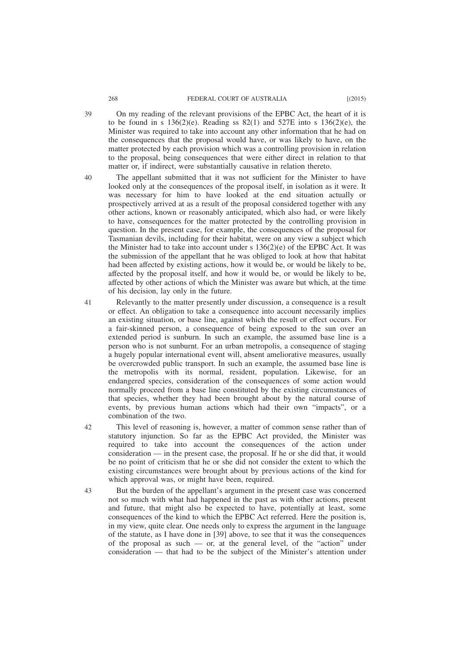- On my reading of the relevant provisions of the EPBC Act, the heart of it is to be found in s  $136(2)(e)$ . Reading ss  $82(1)$  and  $527E$  into s  $136(2)(e)$ , the Minister was required to take into account any other information that he had on the consequences that the proposal would have, or was likely to have, on the matter protected by each provision which was a controlling provision in relation to the proposal, being consequences that were either direct in relation to that matter or, if indirect, were substantially causative in relation thereto.
- 40

42

43

The appellant submitted that it was not sufficient for the Minister to have looked only at the consequences of the proposal itself, in isolation as it were. It was necessary for him to have looked at the end situation actually or prospectively arrived at as a result of the proposal considered together with any other actions, known or reasonably anticipated, which also had, or were likely to have, consequences for the matter protected by the controlling provision in question. In the present case, for example, the consequences of the proposal for Tasmanian devils, including for their habitat, were on any view a subject which the Minister had to take into account under s  $136(2)(e)$  of the EPBC Act. It was the submission of the appellant that he was obliged to look at how that habitat had been affected by existing actions, how it would be, or would be likely to be, affected by the proposal itself, and how it would be, or would be likely to be, affected by other actions of which the Minister was aware but which, at the time of his decision, lay only in the future.

- Relevantly to the matter presently under discussion, a consequence is a result or effect. An obligation to take a consequence into account necessarily implies an existing situation, or base line, against which the result or effect occurs. For a fair-skinned person, a consequence of being exposed to the sun over an extended period is sunburn. In such an example, the assumed base line is a person who is not sunburnt. For an urban metropolis, a consequence of staging a hugely popular international event will, absent ameliorative measures, usually be overcrowded public transport. In such an example, the assumed base line is the metropolis with its normal, resident, population. Likewise, for an endangered species, consideration of the consequences of some action would normally proceed from a base line constituted by the existing circumstances of that species, whether they had been brought about by the natural course of events, by previous human actions which had their own "impacts", or a combination of the two. 41
	- This level of reasoning is, however, a matter of common sense rather than of statutory injunction. So far as the EPBC Act provided, the Minister was required to take into account the consequences of the action under consideration — in the present case, the proposal. If he or she did that, it would be no point of criticism that he or she did not consider the extent to which the existing circumstances were brought about by previous actions of the kind for which approval was, or might have been, required.

But the burden of the appellant's argument in the present case was concerned not so much with what had happened in the past as with other actions, present and future, that might also be expected to have, potentially at least, some consequences of the kind to which the EPBC Act referred. Here the position is, in my view, quite clear. One needs only to express the argument in the language of the statute, as I have done in [39] above, to see that it was the consequences of the proposal as such — or, at the general level, of the "action" under consideration — that had to be the subject of the Minister's attention under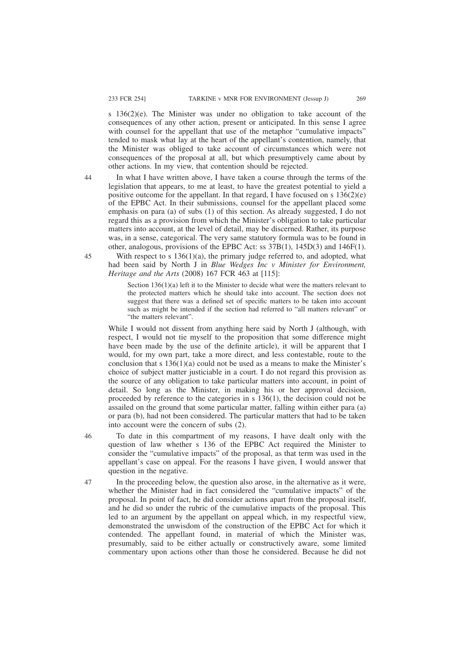s 136(2)(e). The Minister was under no obligation to take account of the consequences of any other action, present or anticipated. In this sense I agree with counsel for the appellant that use of the metaphor "cumulative impacts" tended to mask what lay at the heart of the appellant's contention, namely, that the Minister was obliged to take account of circumstances which were not consequences of the proposal at all, but which presumptively came about by other actions. In my view, that contention should be rejected.

44

45

In what I have written above, I have taken a course through the terms of the legislation that appears, to me at least, to have the greatest potential to yield a positive outcome for the appellant. In that regard, I have focused on s  $136(2)(e)$ of the EPBC Act. In their submissions, counsel for the appellant placed some emphasis on para (a) of subs (1) of this section. As already suggested, I do not regard this as a provision from which the Minister's obligation to take particular matters into account, at the level of detail, may be discerned. Rather, its purpose was, in a sense, categorical. The very same statutory formula was to be found in other, analogous, provisions of the EPBC Act: ss 37B(1), 145D(3) and 146F(1).

With respect to s  $136(1)(a)$ , the primary judge referred to, and adopted, what had been said by North J in *Blue Wedges Inc v Minister for Environment, Heritage and the Arts* (2008) 167 FCR 463 at [115]:

Section 136(1)(a) left it to the Minister to decide what were the matters relevant to the protected matters which he should take into account. The section does not suggest that there was a defined set of specific matters to be taken into account such as might be intended if the section had referred to "all matters relevant" or "the matters relevant".

While I would not dissent from anything here said by North J (although, with respect, I would not tie myself to the proposition that some difference might have been made by the use of the definite article), it will be apparent that I would, for my own part, take a more direct, and less contestable, route to the conclusion that s  $136(1)(a)$  could not be used as a means to make the Minister's choice of subject matter justiciable in a court. I do not regard this provision as the source of any obligation to take particular matters into account, in point of detail. So long as the Minister, in making his or her approval decision, proceeded by reference to the categories in s 136(1), the decision could not be assailed on the ground that some particular matter, falling within either para (a) or para (b), had not been considered. The particular matters that had to be taken into account were the concern of subs (2).

To date in this compartment of my reasons, I have dealt only with the question of law whether s 136 of the EPBC Act required the Minister to consider the "cumulative impacts" of the proposal, as that term was used in the appellant's case on appeal. For the reasons I have given, I would answer that question in the negative.

In the proceeding below, the question also arose, in the alternative as it were, whether the Minister had in fact considered the "cumulative impacts" of the proposal. In point of fact, he did consider actions apart from the proposal itself, and he did so under the rubric of the cumulative impacts of the proposal. This led to an argument by the appellant on appeal which, in my respectful view, demonstrated the unwisdom of the construction of the EPBC Act for which it contended. The appellant found, in material of which the Minister was, presumably, said to be either actually or constructively aware, some limited commentary upon actions other than those he considered. Because he did not

46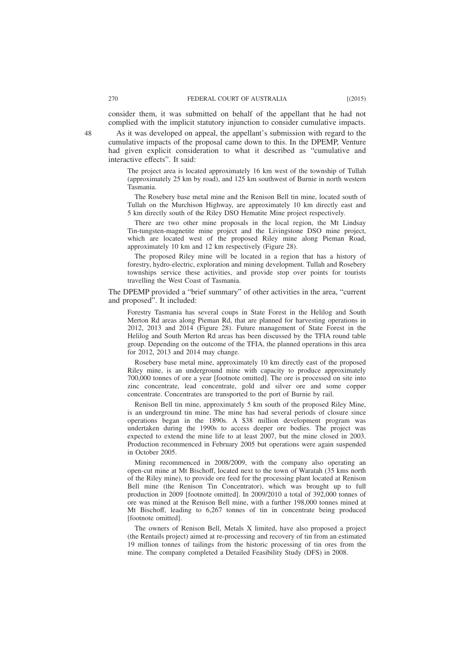As it was developed on appeal, the appellant's submission with regard to the cumulative impacts of the proposal came down to this. In the DPEMP, Venture had given explicit consideration to what it described as "cumulative and interactive effects". It said:

The project area is located approximately 16 km west of the township of Tullah (approximately 25 km by road), and 125 km southwest of Burnie in north western Tasmania.

The Rosebery base metal mine and the Renison Bell tin mine, located south of Tullah on the Murchison Highway, are approximately 10 km directly east and 5 km directly south of the Riley DSO Hematite Mine project respectively.

There are two other mine proposals in the local region, the Mt Lindsay Tin-tungsten-magnetite mine project and the Livingstone DSO mine project, which are located west of the proposed Riley mine along Pieman Road, approximately 10 km and 12 km respectively (Figure 28).

The proposed Riley mine will be located in a region that has a history of forestry, hydro-electric, exploration and mining development. Tullah and Rosebery townships service these activities, and provide stop over points for tourists travelling the West Coast of Tasmania.

The DPEMP provided a "brief summary" of other activities in the area, "current and proposed". It included:

Forestry Tasmania has several coups in State Forest in the Helilog and South Merton Rd areas along Pieman Rd, that are planned for harvesting operations in 2012, 2013 and 2014 (Figure 28). Future management of State Forest in the Helilog and South Merton Rd areas has been discussed by the TFIA round table group. Depending on the outcome of the TFIA, the planned operations in this area for 2012, 2013 and 2014 may change.

Rosebery base metal mine, approximately 10 km directly east of the proposed Riley mine, is an underground mine with capacity to produce approximately 700,000 tonnes of ore a year [footnote omitted]. The ore is processed on site into zinc concentrate, lead concentrate, gold and silver ore and some copper concentrate. Concentrates are transported to the port of Burnie by rail.

Renison Bell tin mine, approximately 5 km south of the proposed Riley Mine, is an underground tin mine. The mine has had several periods of closure since operations began in the 1890s. A \$38 million development program was undertaken during the 1990s to access deeper ore bodies. The project was expected to extend the mine life to at least 2007, but the mine closed in 2003. Production recommenced in February 2005 but operations were again suspended in October 2005.

Mining recommenced in 2008/2009, with the company also operating an open-cut mine at Mt Bischoff, located next to the town of Waratah (35 kms north of the Riley mine), to provide ore feed for the processing plant located at Renison Bell mine (the Renison Tin Concentrator), which was brought up to full production in 2009 [footnote omitted]. In 2009/2010 a total of 392,000 tonnes of ore was mined at the Renison Bell mine, with a further 198,000 tonnes mined at Mt Bischoff, leading to 6,267 tonnes of tin in concentrate being produced [footnote omitted].

The owners of Renison Bell, Metals X limited, have also proposed a project (the Rentails project) aimed at re-processing and recovery of tin from an estimated 19 million tonnes of tailings from the historic processing of tin ores from the mine. The company completed a Detailed Feasibility Study (DFS) in 2008.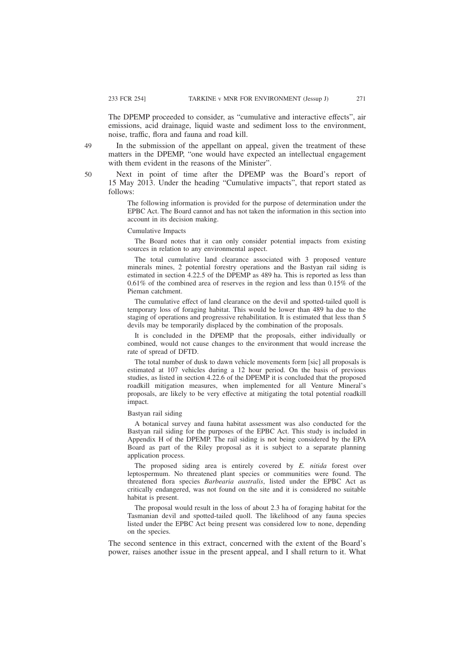The DPEMP proceeded to consider, as "cumulative and interactive effects", air emissions, acid drainage, liquid waste and sediment loss to the environment, noise, traffic, flora and fauna and road kill.

In the submission of the appellant on appeal, given the treatment of these matters in the DPEMP, "one would have expected an intellectual engagement with them evident in the reasons of the Minister".

Next in point of time after the DPEMP was the Board's report of 15 May 2013. Under the heading "Cumulative impacts", that report stated as follows:

The following information is provided for the purpose of determination under the EPBC Act. The Board cannot and has not taken the information in this section into account in its decision making.

### Cumulative Impacts

The Board notes that it can only consider potential impacts from existing sources in relation to any environmental aspect.

The total cumulative land clearance associated with 3 proposed venture minerals mines, 2 potential forestry operations and the Bastyan rail siding is estimated in section 4.22.5 of the DPEMP as 489 ha. This is reported as less than 0.61% of the combined area of reserves in the region and less than 0.15% of the Pieman catchment.

The cumulative effect of land clearance on the devil and spotted-tailed quoll is temporary loss of foraging habitat. This would be lower than 489 ha due to the staging of operations and progressive rehabilitation. It is estimated that less than 5 devils may be temporarily displaced by the combination of the proposals.

It is concluded in the DPEMP that the proposals, either individually or combined, would not cause changes to the environment that would increase the rate of spread of DFTD.

The total number of dusk to dawn vehicle movements form [sic] all proposals is estimated at 107 vehicles during a 12 hour period. On the basis of previous studies, as listed in section 4.22.6 of the DPEMP it is concluded that the proposed roadkill mitigation measures, when implemented for all Venture Mineral's proposals, are likely to be very effective at mitigating the total potential roadkill impact.

### Bastyan rail siding

A botanical survey and fauna habitat assessment was also conducted for the Bastyan rail siding for the purposes of the EPBC Act. This study is included in Appendix H of the DPEMP. The rail siding is not being considered by the EPA Board as part of the Riley proposal as it is subject to a separate planning application process.

The proposed siding area is entirely covered by *E. nitida* forest over leptospermum. No threatened plant species or communities were found. The threatened flora species *Barbearia australis*, listed under the EPBC Act as critically endangered, was not found on the site and it is considered no suitable habitat is present.

The proposal would result in the loss of about 2.3 ha of foraging habitat for the Tasmanian devil and spotted-tailed quoll. The likelihood of any fauna species listed under the EPBC Act being present was considered low to none, depending on the species.

The second sentence in this extract, concerned with the extent of the Board's power, raises another issue in the present appeal, and I shall return to it. What

49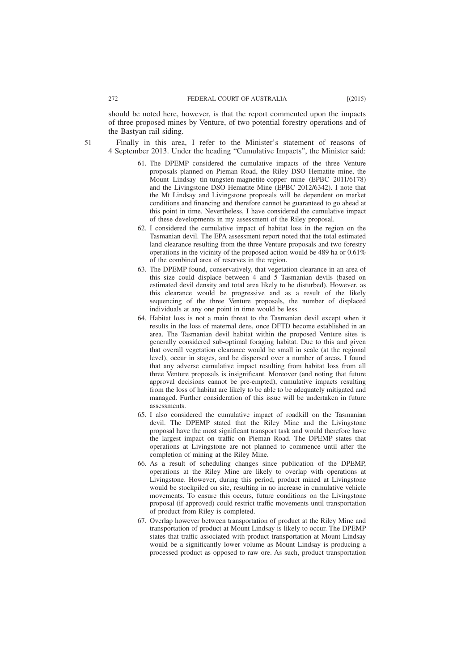should be noted here, however, is that the report commented upon the impacts of three proposed mines by Venture, of two potential forestry operations and of the Bastyan rail siding.

- Finally in this area, I refer to the Minister's statement of reasons of 4 September 2013. Under the heading "Cumulative Impacts", the Minister said:
	- 61. The DPEMP considered the cumulative impacts of the three Venture proposals planned on Pieman Road, the Riley DSO Hematite mine, the Mount Lindsay tin-tungsten-magnetite-copper mine (EPBC 2011/6178) and the Livingstone DSO Hematite Mine (EPBC 2012/6342). I note that the Mt Lindsay and Livingstone proposals will be dependent on market conditions and financing and therefore cannot be guaranteed to go ahead at this point in time. Nevertheless, I have considered the cumulative impact of these developments in my assessment of the Riley proposal.
	- 62. I considered the cumulative impact of habitat loss in the region on the Tasmanian devil. The EPA assessment report noted that the total estimated land clearance resulting from the three Venture proposals and two forestry operations in the vicinity of the proposed action would be 489 ha or 0.61% of the combined area of reserves in the region.
	- 63. The DPEMP found, conservatively, that vegetation clearance in an area of this size could displace between 4 and 5 Tasmanian devils (based on estimated devil density and total area likely to be disturbed). However, as this clearance would be progressive and as a result of the likely sequencing of the three Venture proposals, the number of displaced individuals at any one point in time would be less.
	- 64. Habitat loss is not a main threat to the Tasmanian devil except when it results in the loss of maternal dens, once DFTD become established in an area. The Tasmanian devil habitat within the proposed Venture sites is generally considered sub-optimal foraging habitat. Due to this and given that overall vegetation clearance would be small in scale (at the regional level), occur in stages, and be dispersed over a number of areas, I found that any adverse cumulative impact resulting from habitat loss from all three Venture proposals is insignificant. Moreover (and noting that future approval decisions cannot be pre-empted), cumulative impacts resulting from the loss of habitat are likely to be able to be adequately mitigated and managed. Further consideration of this issue will be undertaken in future assessments.
	- 65. I also considered the cumulative impact of roadkill on the Tasmanian devil. The DPEMP stated that the Riley Mine and the Livingstone proposal have the most significant transport task and would therefore have the largest impact on traffic on Pieman Road. The DPEMP states that operations at Livingstone are not planned to commence until after the completion of mining at the Riley Mine.
	- 66. As a result of scheduling changes since publication of the DPEMP, operations at the Riley Mine are likely to overlap with operations at Livingstone. However, during this period, product mined at Livingstone would be stockpiled on site, resulting in no increase in cumulative vehicle movements. To ensure this occurs, future conditions on the Livingstone proposal (if approved) could restrict traffic movements until transportation of product from Riley is completed.
	- 67. Overlap however between transportation of product at the Riley Mine and transportation of product at Mount Lindsay is likely to occur. The DPEMP states that traffic associated with product transportation at Mount Lindsay would be a significantly lower volume as Mount Lindsay is producing a processed product as opposed to raw ore. As such, product transportation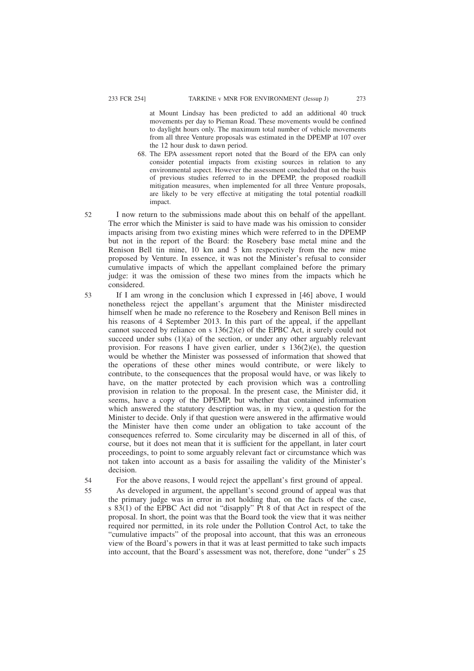at Mount Lindsay has been predicted to add an additional 40 truck movements per day to Pieman Road. These movements would be confined to daylight hours only. The maximum total number of vehicle movements from all three Venture proposals was estimated in the DPEMP at 107 over the 12 hour dusk to dawn period.

- 68. The EPA assessment report noted that the Board of the EPA can only consider potential impacts from existing sources in relation to any environmental aspect. However the assessment concluded that on the basis of previous studies referred to in the DPEMP, the proposed roadkill mitigation measures, when implemented for all three Venture proposals, are likely to be very effective at mitigating the total potential roadkill impact.
- I now return to the submissions made about this on behalf of the appellant. The error which the Minister is said to have made was his omission to consider impacts arising from two existing mines which were referred to in the DPEMP but not in the report of the Board: the Rosebery base metal mine and the Renison Bell tin mine, 10 km and 5 km respectively from the new mine proposed by Venture. In essence, it was not the Minister's refusal to consider cumulative impacts of which the appellant complained before the primary judge: it was the omission of these two mines from the impacts which he considered.
- If I am wrong in the conclusion which I expressed in [46] above, I would nonetheless reject the appellant's argument that the Minister misdirected himself when he made no reference to the Rosebery and Renison Bell mines in his reasons of 4 September 2013. In this part of the appeal, if the appellant cannot succeed by reliance on s 136(2)(e) of the EPBC Act, it surely could not succeed under subs  $(1)(a)$  of the section, or under any other arguably relevant provision. For reasons I have given earlier, under s  $136(2)(e)$ , the question would be whether the Minister was possessed of information that showed that the operations of these other mines would contribute, or were likely to contribute, to the consequences that the proposal would have, or was likely to have, on the matter protected by each provision which was a controlling provision in relation to the proposal. In the present case, the Minister did, it seems, have a copy of the DPEMP, but whether that contained information which answered the statutory description was, in my view, a question for the Minister to decide. Only if that question were answered in the affirmative would the Minister have then come under an obligation to take account of the consequences referred to. Some circularity may be discerned in all of this, of course, but it does not mean that it is sufficient for the appellant, in later court proceedings, to point to some arguably relevant fact or circumstance which was not taken into account as a basis for assailing the validity of the Minister's decision.

For the above reasons, I would reject the appellant's first ground of appeal. 54

As developed in argument, the appellant's second ground of appeal was that the primary judge was in error in not holding that, on the facts of the case, s 83(1) of the EPBC Act did not "disapply" Pt 8 of that Act in respect of the proposal. In short, the point was that the Board took the view that it was neither required nor permitted, in its role under the Pollution Control Act, to take the "cumulative impacts" of the proposal into account, that this was an erroneous view of the Board's powers in that it was at least permitted to take such impacts into account, that the Board's assessment was not, therefore, done "under" s 25

52

53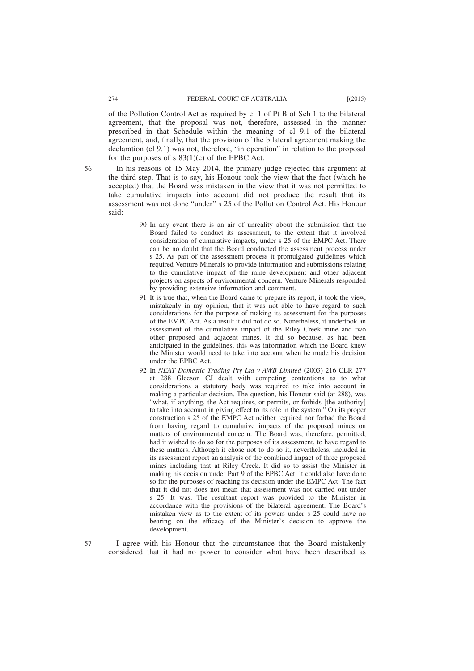of the Pollution Control Act as required by cl 1 of Pt B of Sch 1 to the bilateral agreement, that the proposal was not, therefore, assessed in the manner prescribed in that Schedule within the meaning of cl 9.1 of the bilateral agreement, and, finally, that the provision of the bilateral agreement making the declaration (cl 9.1) was not, therefore, "in operation" in relation to the proposal for the purposes of s  $83(1)(c)$  of the EPBC Act.

56

In his reasons of 15 May 2014, the primary judge rejected this argument at the third step. That is to say, his Honour took the view that the fact (which he accepted) that the Board was mistaken in the view that it was not permitted to take cumulative impacts into account did not produce the result that its assessment was not done "under" s 25 of the Pollution Control Act. His Honour said:

- 90 In any event there is an air of unreality about the submission that the Board failed to conduct its assessment, to the extent that it involved consideration of cumulative impacts, under s 25 of the EMPC Act. There can be no doubt that the Board conducted the assessment process under s 25. As part of the assessment process it promulgated guidelines which required Venture Minerals to provide information and submissions relating to the cumulative impact of the mine development and other adjacent projects on aspects of environmental concern. Venture Minerals responded by providing extensive information and comment.
- 91 It is true that, when the Board came to prepare its report, it took the view, mistakenly in my opinion, that it was not able to have regard to such considerations for the purpose of making its assessment for the purposes of the EMPC Act. As a result it did not do so. Nonetheless, it undertook an assessment of the cumulative impact of the Riley Creek mine and two other proposed and adjacent mines. It did so because, as had been anticipated in the guidelines, this was information which the Board knew the Minister would need to take into account when he made his decision under the EPBC Act.
- 92 In *NEAT Domestic Trading Pty Ltd v AWB Limited* (2003) 216 CLR 277 at 288 Gleeson CJ dealt with competing contentions as to what considerations a statutory body was required to take into account in making a particular decision. The question, his Honour said (at 288), was "what, if anything, the Act requires, or permits, or forbids [the authority] to take into account in giving effect to its role in the system." On its proper construction s 25 of the EMPC Act neither required nor forbad the Board from having regard to cumulative impacts of the proposed mines on matters of environmental concern. The Board was, therefore, permitted, had it wished to do so for the purposes of its assessment, to have regard to these matters. Although it chose not to do so it, nevertheless, included in its assessment report an analysis of the combined impact of three proposed mines including that at Riley Creek. It did so to assist the Minister in making his decision under Part 9 of the EPBC Act. It could also have done so for the purposes of reaching its decision under the EMPC Act. The fact that it did not does not mean that assessment was not carried out under s 25. It was. The resultant report was provided to the Minister in accordance with the provisions of the bilateral agreement. The Board's mistaken view as to the extent of its powers under s 25 could have no bearing on the efficacy of the Minister's decision to approve the development.
- I agree with his Honour that the circumstance that the Board mistakenly considered that it had no power to consider what have been described as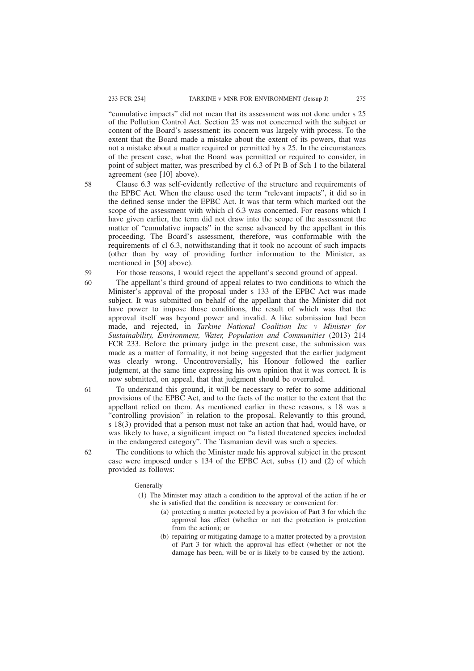"cumulative impacts" did not mean that its assessment was not done under s 25 of the Pollution Control Act. Section 25 was not concerned with the subject or content of the Board's assessment: its concern was largely with process. To the extent that the Board made a mistake about the extent of its powers, that was not a mistake about a matter required or permitted by s 25. In the circumstances of the present case, what the Board was permitted or required to consider, in point of subject matter, was prescribed by cl 6.3 of Pt B of Sch 1 to the bilateral agreement (see [10] above).

58

60

Clause 6.3 was self-evidently reflective of the structure and requirements of the EPBC Act. When the clause used the term "relevant impacts", it did so in the defined sense under the EPBC Act. It was that term which marked out the scope of the assessment with which cl 6.3 was concerned. For reasons which I have given earlier, the term did not draw into the scope of the assessment the matter of "cumulative impacts" in the sense advanced by the appellant in this proceeding. The Board's assessment, therefore, was conformable with the requirements of cl 6.3, notwithstanding that it took no account of such impacts (other than by way of providing further information to the Minister, as mentioned in [50] above).

For those reasons, I would reject the appellant's second ground of appeal. 59

- The appellant's third ground of appeal relates to two conditions to which the Minister's approval of the proposal under s 133 of the EPBC Act was made subject. It was submitted on behalf of the appellant that the Minister did not have power to impose those conditions, the result of which was that the approval itself was beyond power and invalid. A like submission had been made, and rejected, in *Tarkine National Coalition Inc v Minister for Sustainability, Environment, Water, Population and Communities* (2013) 214 FCR 233. Before the primary judge in the present case, the submission was made as a matter of formality, it not being suggested that the earlier judgment was clearly wrong. Uncontroversially, his Honour followed the earlier judgment, at the same time expressing his own opinion that it was correct. It is now submitted, on appeal, that that judgment should be overruled.
- To understand this ground, it will be necessary to refer to some additional provisions of the EPBC Act, and to the facts of the matter to the extent that the appellant relied on them. As mentioned earlier in these reasons, s 18 was a "controlling provision" in relation to the proposal. Relevantly to this ground, s 18(3) provided that a person must not take an action that had, would have, or was likely to have, a significant impact on "a listed threatened species included in the endangered category". The Tasmanian devil was such a species.

62

61

The conditions to which the Minister made his approval subject in the present case were imposed under s 134 of the EPBC Act, subss (1) and (2) of which provided as follows:

**Generally** 

- (1) The Minister may attach a condition to the approval of the action if he or she is satisfied that the condition is necessary or convenient for:
	- (a) protecting a matter protected by a provision of Part 3 for which the approval has effect (whether or not the protection is protection from the action); or
	- (b) repairing or mitigating damage to a matter protected by a provision of Part 3 for which the approval has effect (whether or not the damage has been, will be or is likely to be caused by the action).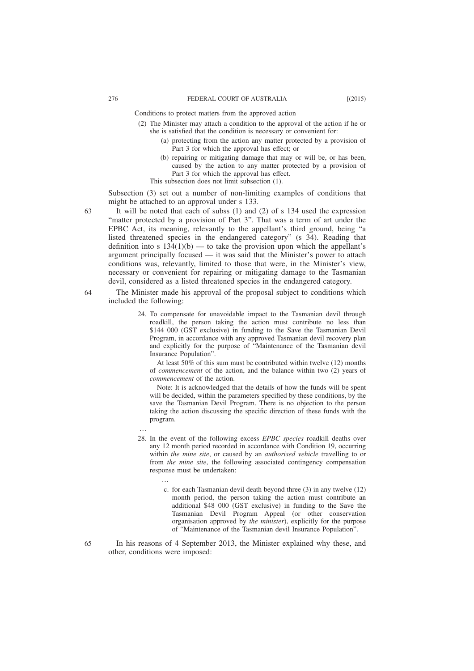Conditions to protect matters from the approved action

- (2) The Minister may attach a condition to the approval of the action if he or she is satisfied that the condition is necessary or convenient for:
	- (a) protecting from the action any matter protected by a provision of Part 3 for which the approval has effect; or
	- (b) repairing or mitigating damage that may or will be, or has been, caused by the action to any matter protected by a provision of Part 3 for which the approval has effect.
	- This subsection does not limit subsection (1).

Subsection (3) set out a number of non-limiting examples of conditions that might be attached to an approval under s 133.

- It will be noted that each of subss (1) and (2) of s 134 used the expression "matter protected by a provision of Part 3". That was a term of art under the EPBC Act, its meaning, relevantly to the appellant's third ground, being "a listed threatened species in the endangered category" (s 34). Reading that definition into s  $134(1)(b)$  — to take the provision upon which the appellant's argument principally focused — it was said that the Minister's power to attach conditions was, relevantly, limited to those that were, in the Minister's view, necessary or convenient for repairing or mitigating damage to the Tasmanian devil, considered as a listed threatened species in the endangered category.
- The Minister made his approval of the proposal subject to conditions which included the following:
	- 24. To compensate for unavoidable impact to the Tasmanian devil through roadkill, the person taking the action must contribute no less than \$144 000 (GST exclusive) in funding to the Save the Tasmanian Devil Program, in accordance with any approved Tasmanian devil recovery plan and explicitly for the purpose of "Maintenance of the Tasmanian devil Insurance Population".

At least 50% of this sum must be contributed within twelve (12) months of *commencement* of the action, and the balance within two (2) years of *commencement* of the action.

Note: It is acknowledged that the details of how the funds will be spent will be decided, within the parameters specified by these conditions, by the save the Tasmanian Devil Program. There is no objection to the person taking the action discussing the specific direction of these funds with the program.

…

…

- 28. In the event of the following excess *EPBC species* roadkill deaths over any 12 month period recorded in accordance with Condition 19, occurring within *the mine site*, or caused by an *authorised vehicle* travelling to or from *the mine site*, the following associated contingency compensation response must be undertaken:
	- c. for each Tasmanian devil death beyond three (3) in any twelve (12) month period, the person taking the action must contribute an additional \$48 000 (GST exclusive) in funding to the Save the Tasmanian Devil Program Appeal (or other conservation organisation approved by *the minister*), explicitly for the purpose of "Maintenance of the Tasmanian devil Insurance Population".
- In his reasons of 4 September 2013, the Minister explained why these, and other, conditions were imposed:

63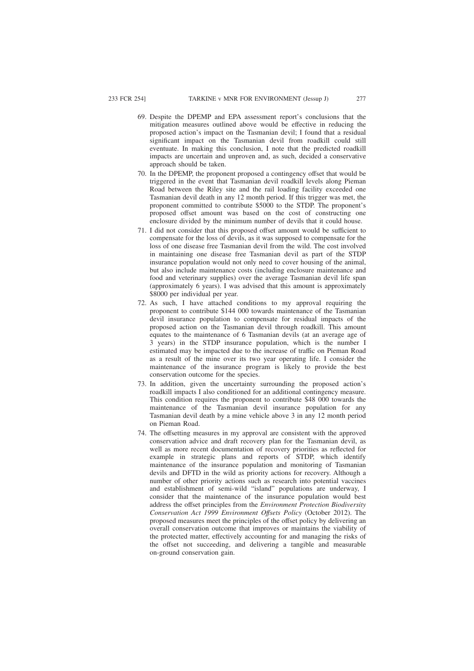- 69. Despite the DPEMP and EPA assessment report's conclusions that the mitigation measures outlined above would be effective in reducing the proposed action's impact on the Tasmanian devil; I found that a residual significant impact on the Tasmanian devil from roadkill could still eventuate. In making this conclusion, I note that the predicted roadkill impacts are uncertain and unproven and, as such, decided a conservative approach should be taken.
- 70. In the DPEMP, the proponent proposed a contingency offset that would be triggered in the event that Tasmanian devil roadkill levels along Pieman Road between the Riley site and the rail loading facility exceeded one Tasmanian devil death in any 12 month period. If this trigger was met, the proponent committed to contribute \$5000 to the STDP. The proponent's proposed offset amount was based on the cost of constructing one enclosure divided by the minimum number of devils that it could house.
- 71. I did not consider that this proposed offset amount would be sufficient to compensate for the loss of devils, as it was supposed to compensate for the loss of one disease free Tasmanian devil from the wild. The cost involved in maintaining one disease free Tasmanian devil as part of the STDP insurance population would not only need to cover housing of the animal, but also include maintenance costs (including enclosure maintenance and food and veterinary supplies) over the average Tasmanian devil life span (approximately 6 years). I was advised that this amount is approximately \$8000 per individual per year.
- 72. As such, I have attached conditions to my approval requiring the proponent to contribute \$144 000 towards maintenance of the Tasmanian devil insurance population to compensate for residual impacts of the proposed action on the Tasmanian devil through roadkill. This amount equates to the maintenance of 6 Tasmanian devils (at an average age of 3 years) in the STDP insurance population, which is the number I estimated may be impacted due to the increase of traffic on Pieman Road as a result of the mine over its two year operating life. I consider the maintenance of the insurance program is likely to provide the best conservation outcome for the species.
- 73. In addition, given the uncertainty surrounding the proposed action's roadkill impacts I also conditioned for an additional contingency measure. This condition requires the proponent to contribute \$48 000 towards the maintenance of the Tasmanian devil insurance population for any Tasmanian devil death by a mine vehicle above 3 in any 12 month period on Pieman Road.
- 74. The offsetting measures in my approval are consistent with the approved conservation advice and draft recovery plan for the Tasmanian devil, as well as more recent documentation of recovery priorities as reflected for example in strategic plans and reports of STDP, which identify maintenance of the insurance population and monitoring of Tasmanian devils and DFTD in the wild as priority actions for recovery. Although a number of other priority actions such as research into potential vaccines and establishment of semi-wild "island" populations are underway, I consider that the maintenance of the insurance population would best address the offset principles from the *Environment Protection Biodiversity Conservation Act 1999 Environment Offsets Policy* (October 2012). The proposed measures meet the principles of the offset policy by delivering an overall conservation outcome that improves or maintains the viability of the protected matter, effectively accounting for and managing the risks of the offset not succeeding, and delivering a tangible and measurable on-ground conservation gain.